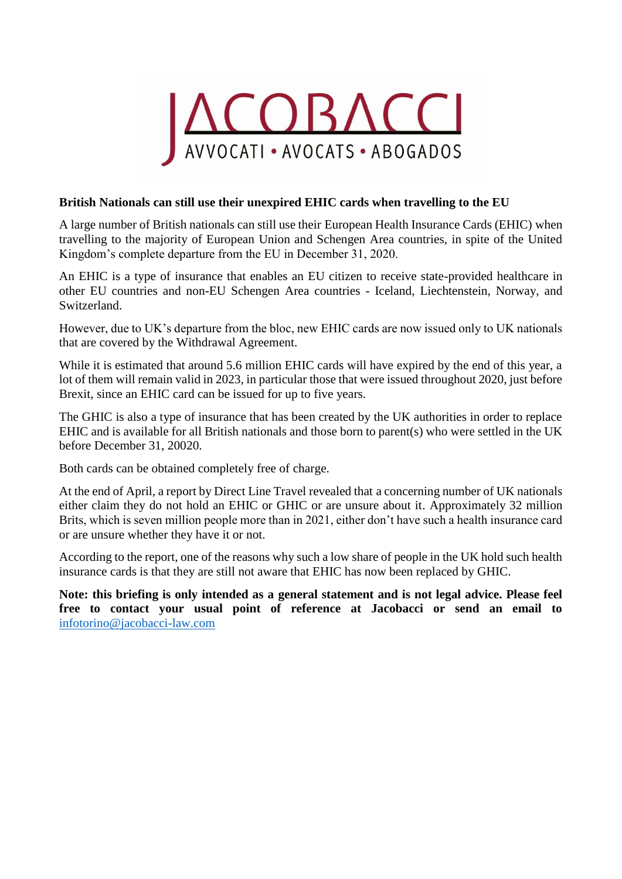

## **British Nationals can still use their unexpired EHIC cards when travelling to the EU**

A large number of British nationals can still use their [European Health Insurance](https://www.schengenvisainfo.com/europe-travel-insurance/ehic/) Cards (EHIC) when travelling to the majority of European Union and Schengen Area countries, in spite of the United Kingdom's complete departure from the EU in December 31, 2020.

An EHIC is a type of insurance that enables an EU citizen to receive state-provided healthcare in other EU countries and non-EU Schengen Area countries - Iceland, Liechtenstein, Norway, and Switzerland.

However, due to UK's departure from the bloc, new EHIC cards are now issued only to UK nationals that are covered by the Withdrawal Agreement.

While it is estimated that around 5.6 million EHIC cards will have expired by the end of this year, a lot of them will remain valid in 2023, in particular those that were issued throughout 2020, just before Brexit, since an EHIC card can be issued for up to five years.

The GHIC is also a type of insurance that has been created by the UK authorities in order to replace EHIC and is available for all British nationals and those born to parent(s) who were settled in the UK before December 31, 20020.

Both cards can be obtained completely free of charge.

At the end of April, a report by Direct Line Travel revealed that [a concerning number of UK nationals](https://www.schengenvisainfo.com/news/2-3-of-britons-dont-have-a-valid-european-or-global-health-insurance-card/)  [either claim they do not hold an EHIC or GHIC or are unsure about it.](https://www.schengenvisainfo.com/news/2-3-of-britons-dont-have-a-valid-european-or-global-health-insurance-card/) Approximately 32 million Brits, which is seven million people more than in 2021, either don't have such a health insurance card or are unsure whether they have it or not.

According to the report, one of the reasons why such a low share of people in the UK hold such health insurance cards is that they are still not aware that EHIC has now been replaced by GHIC.

**Note: this briefing is only intended as a general statement and is not legal advice. Please feel free to contact your usual point of reference at Jacobacci or send an email to**  [infotorino@jacobacci-law.com](mailto:infotorino@jacobacci-law.com)